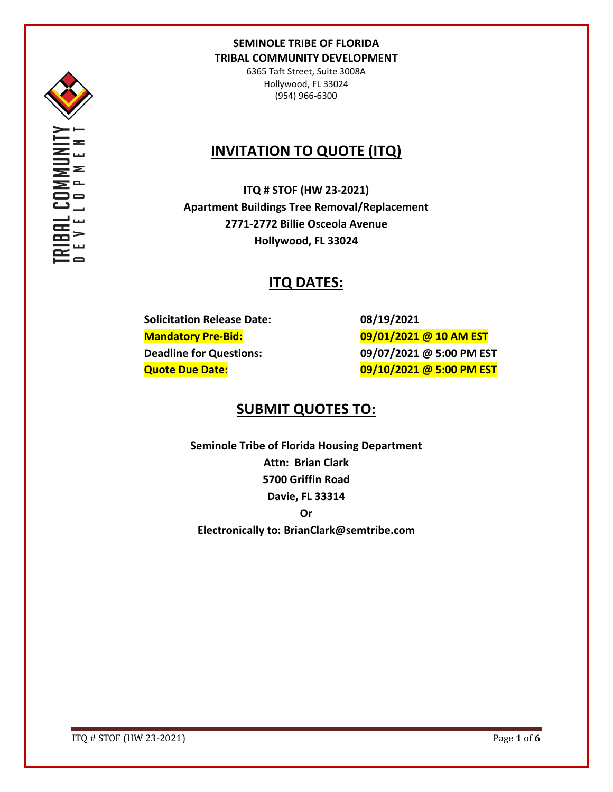

6365 Taft Street, Suite 3008A Hollywood, FL 33024 (954) 966-6300

# **INVITATION TO QUOTE (ITQ)**

**ITQ # STOF (HW 23-2021) Apartment Buildings Tree Removal/Replacement 2771-2772 Billie Osceola Avenue Hollywood, FL 33024**

# **ITQ DATES:**

**Solicitation Release Date: 08/19/2021**

**Mandatory Pre-Bid: 09/01/2021 @ 10 AM EST Deadline for Questions: 09/07/2021 @ 5:00 PM EST Quote Due Date: 09/10/2021 @ 5:00 PM EST**

# **SUBMIT QUOTES TO:**

**Seminole Tribe of Florida Housing Department Attn: Brian Clark 5700 Griffin Road Davie, FL 33314 Or Electronically to: BrianClark@semtribe.com** 

ITQ # STOF (HW 23-2021) Page **1** of **6**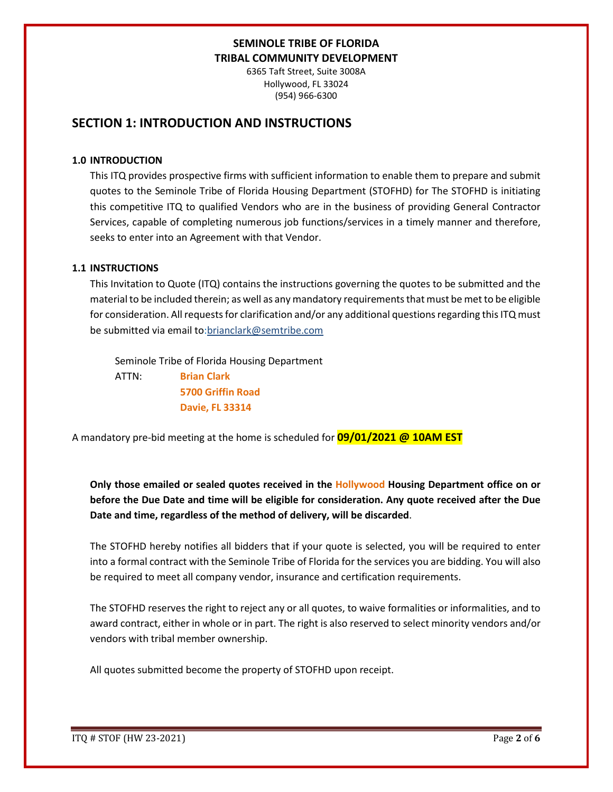6365 Taft Street, Suite 3008A Hollywood, FL 33024 (954) 966-6300

# **SECTION 1: INTRODUCTION AND INSTRUCTIONS**

#### **1.0 INTRODUCTION**

This ITQ provides prospective firms with sufficient information to enable them to prepare and submit quotes to the Seminole Tribe of Florida Housing Department (STOFHD) for The STOFHD is initiating this competitive ITQ to qualified Vendors who are in the business of providing General Contractor Services, capable of completing numerous job functions/services in a timely manner and therefore, seeks to enter into an Agreement with that Vendor.

#### **1.1 INSTRUCTIONS**

This Invitation to Quote (ITQ) contains the instructions governing the quotes to be submitted and the material to be included therein; as well as any mandatory requirements that must be met to be eligible for consideration. All requests for clarification and/or any additional questions regarding this ITQ must be submitted via email to:brianclark@semtribe.com

Seminole Tribe of Florida Housing Department

 ATTN: **Brian Clark 5700 Griffin Road Davie, FL 33314**

A mandatory pre-bid meeting at the home is scheduled for **09/01/2021 @ 10AM EST**

**Only those emailed or sealed quotes received in the Hollywood Housing Department office on or before the Due Date and time will be eligible for consideration. Any quote received after the Due Date and time, regardless of the method of delivery, will be discarded**.

The STOFHD hereby notifies all bidders that if your quote is selected, you will be required to enter into a formal contract with the Seminole Tribe of Florida for the services you are bidding. You will also be required to meet all company vendor, insurance and certification requirements.

The STOFHD reserves the right to reject any or all quotes, to waive formalities or informalities, and to award contract, either in whole or in part. The right is also reserved to select minority vendors and/or vendors with tribal member ownership.

All quotes submitted become the property of STOFHD upon receipt.

ITQ # STOF (HW 23-2021) Page **2** of **6**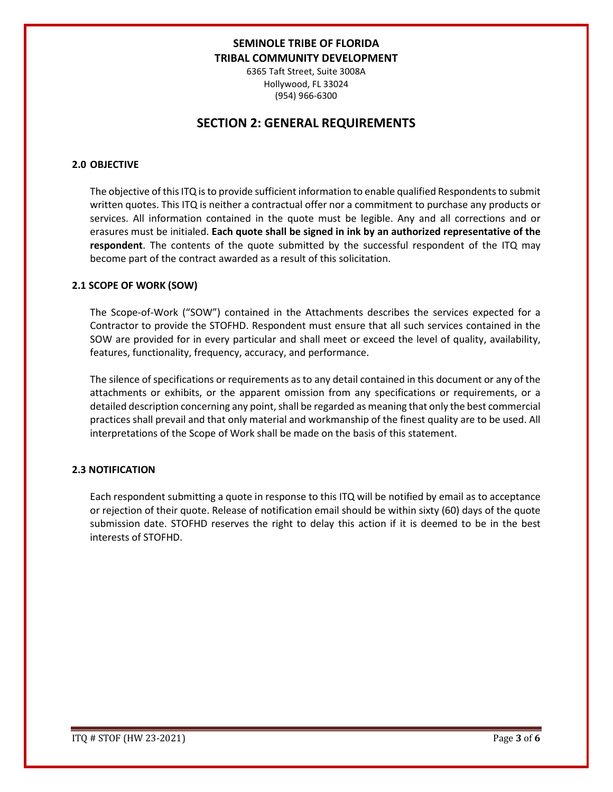6365 Taft Street, Suite 3008A Hollywood, FL 33024 (954) 966-6300

# **SECTION 2: GENERAL REQUIREMENTS**

#### **2.0 OBJECTIVE**

The objective of this ITQ is to provide sufficient information to enable qualified Respondents to submit written quotes. This ITQ is neither a contractual offer nor a commitment to purchase any products or services. All information contained in the quote must be legible. Any and all corrections and or erasures must be initialed. **Each quote shall be signed in ink by an authorized representative of the respondent**. The contents of the quote submitted by the successful respondent of the ITQ may become part of the contract awarded as a result of this solicitation.

#### **2.1 SCOPE OF WORK (SOW)**

The Scope-of-Work ("SOW") contained in the Attachments describes the services expected for a Contractor to provide the STOFHD. Respondent must ensure that all such services contained in the SOW are provided for in every particular and shall meet or exceed the level of quality, availability, features, functionality, frequency, accuracy, and performance.

The silence of specifications or requirements as to any detail contained in this document or any of the attachments or exhibits, or the apparent omission from any specifications or requirements, or a detailed description concerning any point, shall be regarded as meaning that only the best commercial practices shall prevail and that only material and workmanship of the finest quality are to be used. All interpretations of the Scope of Work shall be made on the basis of this statement.

#### **2.3 NOTIFICATION**

Each respondent submitting a quote in response to this ITQ will be notified by email as to acceptance or rejection of their quote. Release of notification email should be within sixty (60) days of the quote submission date. STOFHD reserves the right to delay this action if it is deemed to be in the best interests of STOFHD.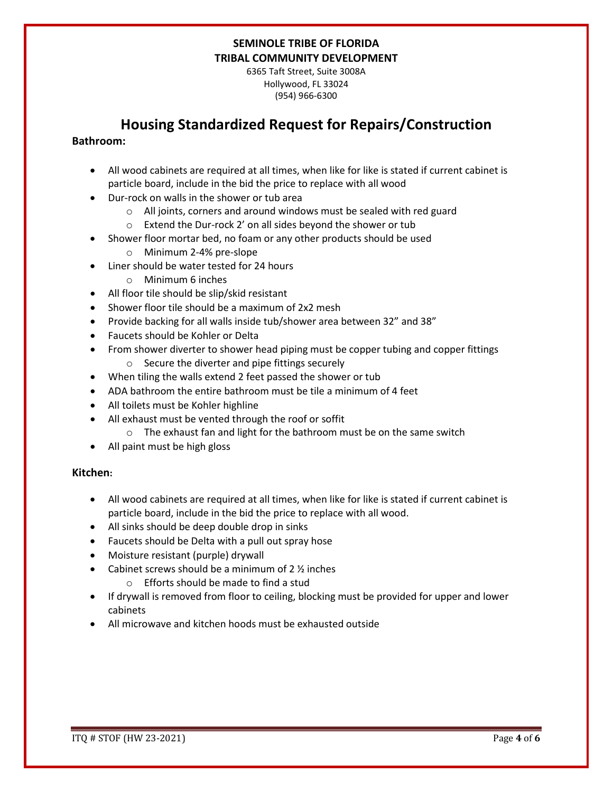6365 Taft Street, Suite 3008A Hollywood, FL 33024 (954) 966-6300

# **Housing Standardized Request for Repairs/Construction**

#### **Bathroom:**

- All wood cabinets are required at all times, when like for like is stated if current cabinet is particle board, include in the bid the price to replace with all wood
- Dur-rock on walls in the shower or tub area
	- o All joints, corners and around windows must be sealed with red guard
	- o Extend the Dur-rock 2' on all sides beyond the shower or tub
- Shower floor mortar bed, no foam or any other products should be used
	- o Minimum 2-4% pre-slope
- Liner should be water tested for 24 hours
	- o Minimum 6 inches
- All floor tile should be slip/skid resistant
- Shower floor tile should be a maximum of 2x2 mesh
- Provide backing for all walls inside tub/shower area between 32" and 38"
- Faucets should be Kohler or Delta
- From shower diverter to shower head piping must be copper tubing and copper fittings o Secure the diverter and pipe fittings securely
- When tiling the walls extend 2 feet passed the shower or tub
- ADA bathroom the entire bathroom must be tile a minimum of 4 feet
- All toilets must be Kohler highline
- All exhaust must be vented through the roof or soffit
	- o The exhaust fan and light for the bathroom must be on the same switch
- All paint must be high gloss

#### **Kitchen:**

- All wood cabinets are required at all times, when like for like is stated if current cabinet is particle board, include in the bid the price to replace with all wood.
- All sinks should be deep double drop in sinks
- Faucets should be Delta with a pull out spray hose
- Moisture resistant (purple) drywall
- Cabinet screws should be a minimum of  $2\frac{1}{2}$  inches
	- o Efforts should be made to find a stud
- If drywall is removed from floor to ceiling, blocking must be provided for upper and lower cabinets
- All microwave and kitchen hoods must be exhausted outside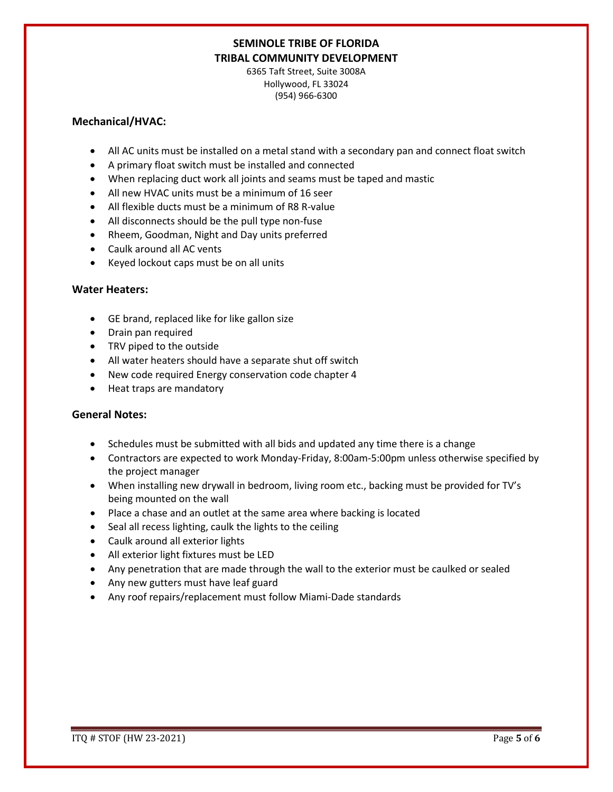6365 Taft Street, Suite 3008A Hollywood, FL 33024 (954) 966-6300

#### **Mechanical/HVAC:**

- All AC units must be installed on a metal stand with a secondary pan and connect float switch
- A primary float switch must be installed and connected
- When replacing duct work all joints and seams must be taped and mastic
- All new HVAC units must be a minimum of 16 seer
- All flexible ducts must be a minimum of R8 R-value
- All disconnects should be the pull type non-fuse
- Rheem, Goodman, Night and Day units preferred
- Caulk around all AC vents
- Keyed lockout caps must be on all units

#### **Water Heaters:**

- GE brand, replaced like for like gallon size
- Drain pan required
- TRV piped to the outside
- All water heaters should have a separate shut off switch
- New code required Energy conservation code chapter 4
- Heat traps are mandatory

#### **General Notes:**

- Schedules must be submitted with all bids and updated any time there is a change
- Contractors are expected to work Monday-Friday, 8:00am-5:00pm unless otherwise specified by the project manager
- When installing new drywall in bedroom, living room etc., backing must be provided for TV's being mounted on the wall
- Place a chase and an outlet at the same area where backing is located
- Seal all recess lighting, caulk the lights to the ceiling
- Caulk around all exterior lights
- All exterior light fixtures must be LED
- Any penetration that are made through the wall to the exterior must be caulked or sealed
- Any new gutters must have leaf guard
- Any roof repairs/replacement must follow Miami-Dade standards